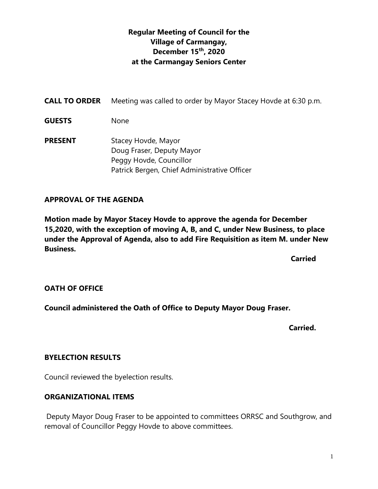# **Regular Meeting of Council for the Village of Carmangay, December 15th, 2020 at the Carmangay Seniors Center**

| <b>CALL TO ORDER</b> | Meeting was called to order by Mayor Stacey Hovde at 6:30 p.m.                                                              |
|----------------------|-----------------------------------------------------------------------------------------------------------------------------|
| <b>GUESTS</b>        | <b>None</b>                                                                                                                 |
| <b>PRESENT</b>       | Stacey Hovde, Mayor<br>Doug Fraser, Deputy Mayor<br>Peggy Hovde, Councillor<br>Patrick Bergen, Chief Administrative Officer |

# **APPROVAL OF THE AGENDA**

**Motion made by Mayor Stacey Hovde to approve the agenda for December 15,2020, with the exception of moving A, B, and C, under New Business, to place under the Approval of Agenda, also to add Fire Requisition as item M. under New Business.**

**Carried Carried Carried** 

#### **OATH OF OFFICE**

**Council administered the Oath of Office to Deputy Mayor Doug Fraser.**

**Carried.**

#### **BYELECTION RESULTS**

Council reviewed the byelection results.

#### **ORGANIZATIONAL ITEMS**

Deputy Mayor Doug Fraser to be appointed to committees ORRSC and Southgrow, and removal of Councillor Peggy Hovde to above committees.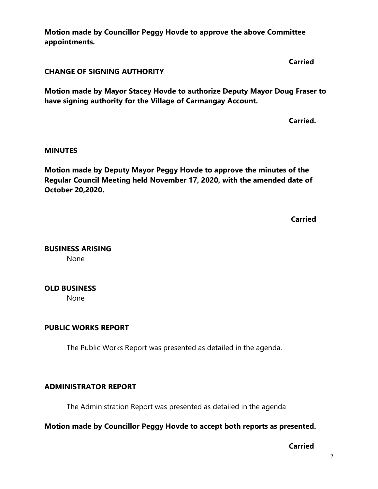**Motion made by Councillor Peggy Hovde to approve the above Committee appointments.**

**CHANGE OF SIGNING AUTHORITY**

**Motion made by Mayor Stacey Hovde to authorize Deputy Mayor Doug Fraser to have signing authority for the Village of Carmangay Account.**

**Carried.**

**Carried**

#### **MINUTES**

**Motion made by Deputy Mayor Peggy Hovde to approve the minutes of the Regular Council Meeting held November 17, 2020, with the amended date of October 20,2020.**

**Carried**

**BUSINESS ARISING**

None

# **OLD BUSINESS**

None

#### **PUBLIC WORKS REPORT**

The Public Works Report was presented as detailed in the agenda.

# **ADMINISTRATOR REPORT**

The Administration Report was presented as detailed in the agenda

# **Motion made by Councillor Peggy Hovde to accept both reports as presented.**

**Carried**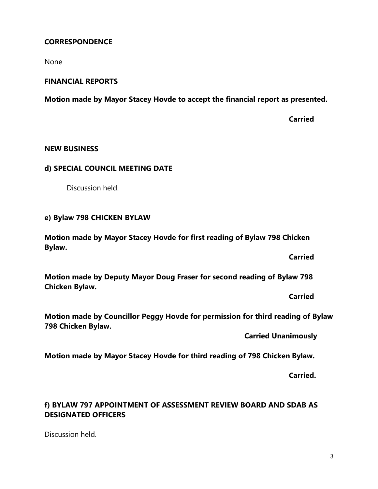# **CORRESPONDENCE**

None

#### **FINANCIAL REPORTS**

**Motion made by Mayor Stacey Hovde to accept the financial report as presented.**

**Carried**

#### **NEW BUSINESS**

#### **d) SPECIAL COUNCIL MEETING DATE**

Discussion held.

#### **e) Bylaw 798 CHICKEN BYLAW**

**Motion made by Mayor Stacey Hovde for first reading of Bylaw 798 Chicken Bylaw.**

**Carried**

**Motion made by Deputy Mayor Doug Fraser for second reading of Bylaw 798 Chicken Bylaw.**

**Carried**

**Motion made by Councillor Peggy Hovde for permission for third reading of Bylaw 798 Chicken Bylaw.**

**Carried Unanimously**

**Motion made by Mayor Stacey Hovde for third reading of 798 Chicken Bylaw.**

**Carried.**

# **f) BYLAW 797 APPOINTMENT OF ASSESSMENT REVIEW BOARD AND SDAB AS DESIGNATED OFFICERS**

Discussion held.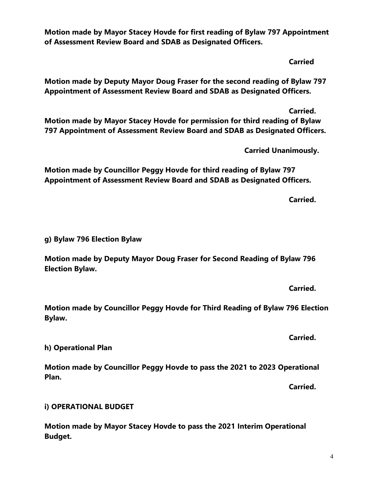4

**Motion made by Mayor Stacey Hovde for first reading of Bylaw 797 Appointment of Assessment Review Board and SDAB as Designated Officers.**

**Carried**

**Motion made by Deputy Mayor Doug Fraser for the second reading of Bylaw 797 Appointment of Assessment Review Board and SDAB as Designated Officers.**

**Carried. Motion made by Mayor Stacey Hovde for permission for third reading of Bylaw 797 Appointment of Assessment Review Board and SDAB as Designated Officers.**

**Carried Unanimously.**

**Motion made by Councillor Peggy Hovde for third reading of Bylaw 797 Appointment of Assessment Review Board and SDAB as Designated Officers.** 

**Carried.**

**g) Bylaw 796 Election Bylaw** 

**Motion made by Deputy Mayor Doug Fraser for Second Reading of Bylaw 796 Election Bylaw.**

**Carried.**

**Carried.**

**Motion made by Councillor Peggy Hovde for Third Reading of Bylaw 796 Election Bylaw.**

**h) Operational Plan**

**Motion made by Councillor Peggy Hovde to pass the 2021 to 2023 Operational Plan.**

**Carried.**

**i) OPERATIONAL BUDGET**

**Motion made by Mayor Stacey Hovde to pass the 2021 Interim Operational Budget.**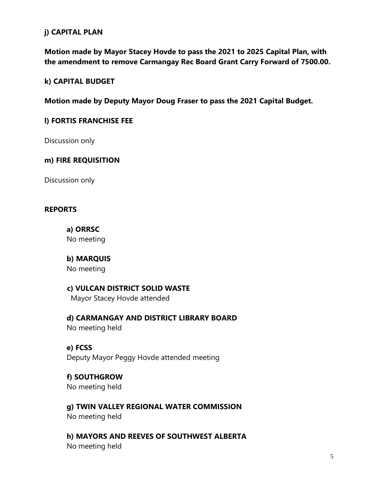# **j) CAPITAL PLAN**

**Motion made by Mayor Stacey Hovde to pass the 2021 to 2025 Capital Plan, with the amendment to remove Carmangay Rec Board Grant Carry Forward of 7500.00.**

# **k) CAPITAL BUDGET**

**Motion made by Deputy Mayor Doug Fraser to pass the 2021 Capital Budget.**

### **l) FORTIS FRANCHISE FEE**

Discussion only

# **m) FIRE REQUISITION**

Discussion only

#### **REPORTS**

**a) ORRSC** No meeting

**b) MARQUIS**  No meeting

# **c) VULCAN DISTRICT SOLID WASTE**

Mayor Stacey Hovde attended

**d) CARMANGAY AND DISTRICT LIBRARY BOARD** No meeting held

#### **e) FCSS**

Deputy Mayor Peggy Hovde attended meeting

# **f) SOUTHGROW**

No meeting held

**g) TWIN VALLEY REGIONAL WATER COMMISSION**

No meeting held

**h) MAYORS AND REEVES OF SOUTHWEST ALBERTA** No meeting held